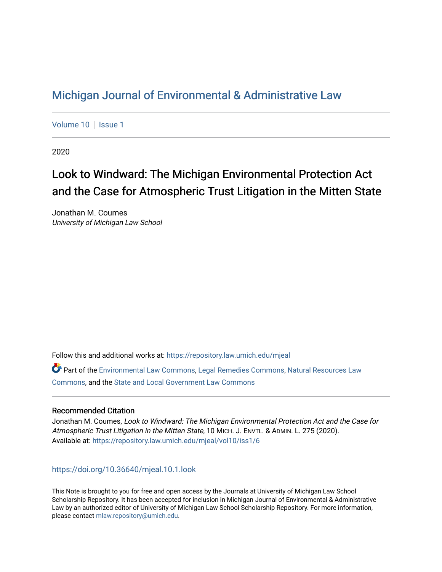## [Michigan Journal of Environmental & Administrative Law](https://repository.law.umich.edu/mjeal)

[Volume 10](https://repository.law.umich.edu/mjeal/vol10) | [Issue 1](https://repository.law.umich.edu/mjeal/vol10/iss1)

2020

# Look to Windward: The Michigan Environmental Protection Act and the Case for Atmospheric Trust Litigation in the Mitten State

Jonathan M. Coumes University of Michigan Law School

Follow this and additional works at: [https://repository.law.umich.edu/mjeal](https://repository.law.umich.edu/mjeal?utm_source=repository.law.umich.edu%2Fmjeal%2Fvol10%2Fiss1%2F6&utm_medium=PDF&utm_campaign=PDFCoverPages)

Part of the [Environmental Law Commons](http://network.bepress.com/hgg/discipline/599?utm_source=repository.law.umich.edu%2Fmjeal%2Fvol10%2Fiss1%2F6&utm_medium=PDF&utm_campaign=PDFCoverPages), [Legal Remedies Commons](http://network.bepress.com/hgg/discipline/618?utm_source=repository.law.umich.edu%2Fmjeal%2Fvol10%2Fiss1%2F6&utm_medium=PDF&utm_campaign=PDFCoverPages), [Natural Resources Law](http://network.bepress.com/hgg/discipline/863?utm_source=repository.law.umich.edu%2Fmjeal%2Fvol10%2Fiss1%2F6&utm_medium=PDF&utm_campaign=PDFCoverPages)  [Commons](http://network.bepress.com/hgg/discipline/863?utm_source=repository.law.umich.edu%2Fmjeal%2Fvol10%2Fiss1%2F6&utm_medium=PDF&utm_campaign=PDFCoverPages), and the [State and Local Government Law Commons](http://network.bepress.com/hgg/discipline/879?utm_source=repository.law.umich.edu%2Fmjeal%2Fvol10%2Fiss1%2F6&utm_medium=PDF&utm_campaign=PDFCoverPages)

## Recommended Citation

Jonathan M. Coumes, Look to Windward: The Michigan Environmental Protection Act and the Case for Atmospheric Trust Litigation in the Mitten State, 10 MICH. J. ENVTL. & ADMIN. L. 275 (2020). Available at: [https://repository.law.umich.edu/mjeal/vol10/iss1/6](https://repository.law.umich.edu/mjeal/vol10/iss1/6?utm_source=repository.law.umich.edu%2Fmjeal%2Fvol10%2Fiss1%2F6&utm_medium=PDF&utm_campaign=PDFCoverPages)

<https://doi.org/10.36640/mjeal.10.1.look>

This Note is brought to you for free and open access by the Journals at University of Michigan Law School Scholarship Repository. It has been accepted for inclusion in Michigan Journal of Environmental & Administrative Law by an authorized editor of University of Michigan Law School Scholarship Repository. For more information, please contact [mlaw.repository@umich.edu.](mailto:mlaw.repository@umich.edu)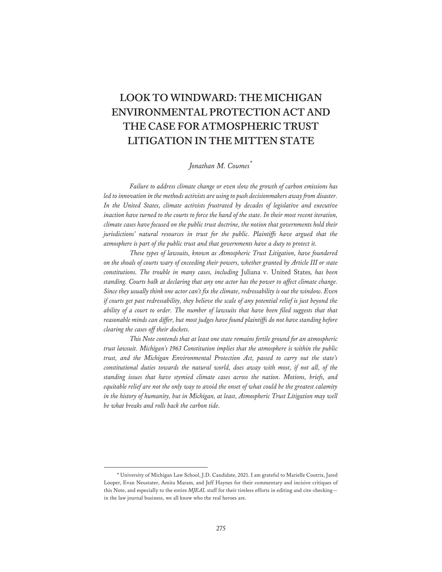## **LOOK TO WINDWARD: THE MICHIGAN ENVIRONMENTAL PROTECTION ACT AND THE CASE FOR ATMOSPHERIC TRUST LITIGATION IN THE MITTEN STATE**

## *Jonathan M. Coumes\**

*Failure to address climate change or even slow the growth of carbon emissions has led to innovation in the methods activists are using to push decisionmakers away from disaster. In the United States, climate activists frustrated by decades of legislative and executive inaction have turned to the courts to force the hand of the state. In their most recent iteration, climate cases have focused on the public trust doctrine, the notion that governments hold their jurisdictions' natural resources in trust for the public. Plaintiffs have argued that the atmosphere is part of the public trust and that governments have a duty to protect it.* 

*These types of lawsuits, known as Atmospheric Trust Litigation, have foundered on the shoals of courts wary of exceeding their powers, whether granted by Article III or state constitutions. The trouble in many cases, including* Juliana v. United States*, has been standing. Courts balk at declaring that any one actor has the power to affect climate change. Since they usually think one actor can't fix the climate, redressability is out the window. Even if courts get past redressability, they believe the scale of any potential relief is just beyond the ability of a court to order. The number of lawsuits that have been filed suggests that that reasonable minds can differ, but most judges have found plaintiffs do not have standing before clearing the cases off their dockets.* 

*This Note contends that at least one state remains fertile ground for an atmospheric trust lawsuit. Michigan's 1963 Constitution implies that the atmosphere is within the public trust, and the Michigan Environmental Protection Act, passed to carry out the state's constitutional duties towards the natural world, does away with most, if not all, of the standing issues that have stymied climate cases across the nation. Motions, briefs, and equitable relief are not the only way to avoid the onset of what could be the greatest calamity in the history of humanity, but in Michigan, at least, Atmospheric Trust Litigation may well be what breaks and rolls back the carbon tide.* 

<sup>\*</sup> University of Michigan Law School, J.D. Candidate, 2021. I am grateful to Marielle Coutrix, Jared Looper, Evan Neustater, Amita Maram, and Jeff Haynes for their commentary and incisive critiques of this Note, and especially to the entire *MJEAL* staff for their tireless efforts in editing and cite-checking in the law journal business, we all know who the real heroes are.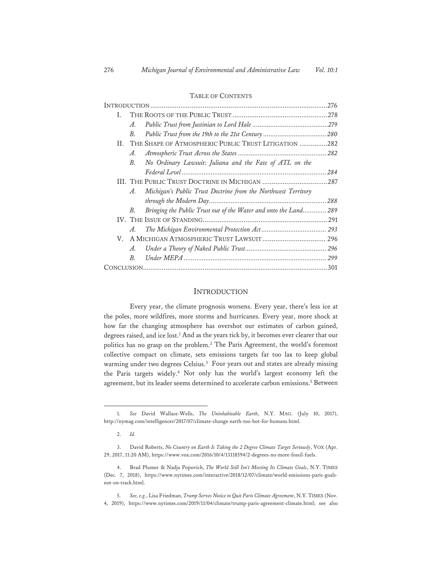| I. |                       |                                                                  |  |
|----|-----------------------|------------------------------------------------------------------|--|
|    | $\mathcal{A}_{\cdot}$ |                                                                  |  |
|    | B.                    |                                                                  |  |
|    |                       | II. THE SHAPE OF ATMOSPHERIC PUBLIC TRUST LITIGATION 282         |  |
|    | A.                    |                                                                  |  |
|    | $B_{\cdot}$           | No Ordinary Lawsuit: Juliana and the Fate of ATL on the          |  |
|    |                       |                                                                  |  |
|    |                       |                                                                  |  |
|    | $A_{\cdot}$           | Michigan's Public Trust Doctrine from the Northwest Territory    |  |
|    |                       |                                                                  |  |
|    | В.                    | Bringing the Public Trust out of the Water and onto the Land 289 |  |
|    |                       |                                                                  |  |
|    | $\mathcal{A}_{\cdot}$ |                                                                  |  |
| V. |                       |                                                                  |  |
|    | $\mathcal{A}_{\cdot}$ |                                                                  |  |
|    | $B_{\cdot}$           |                                                                  |  |
|    |                       |                                                                  |  |

#### TABLE OF CONTENTS

## INTRODUCTION

Every year, the climate prognosis worsens. Every year, there's less ice at the poles, more wildfires, more storms and hurricanes. Every year, more shock at how far the changing atmosphere has overshot our estimates of carbon gained, degrees raised, and ice lost.1 And as the years tick by, it becomes ever clearer that our politics has no grasp on the problem.<sup>2</sup> The Paris Agreement, the world's foremost collective compact on climate, sets emissions targets far too lax to keep global warming under two degrees Celsius.<sup>3</sup> Four years out and states are already missing the Paris targets widely.4 Not only has the world's largest economy left the agreement, but its leader seems determined to accelerate carbon emissions.5 Between

<sup>1.</sup> *See* David Wallace-Wells, *The Uninhabitable Earth*, N.Y. MAG. (July 10, 2017), http://nymag.com/intelligencer/2017/07/climate-change-earth-too-hot-for-humans.html.

<sup>2.</sup> *Id.*

<sup>3.</sup> David Roberts, *No Country on Earth Is Taking the 2 Degree Climate Target Seriously*, VOX (Apr. 29, 2017, 11:20 AM), https://www.vox.com/2016/10/4/13118594/2-degrees-no-more-fossil-fuels.

<sup>4.</sup> Brad Plumer & Nadja Popovich, *The World Still Isn't Meeting Its Climate Goals*, N.Y. TIMES (Dec. 7, 2018), https://www.nytimes.com/interactive/2018/12/07/climate/world-emissions-paris-goalsnot-on-track.html.

<sup>5.</sup> *See, e.g.*, Lisa Friedman, *Trump Serves Notice to Quit Paris Climate Agreement*, N.Y. TIMES (Nov. 4, 2019), https://www.nytimes.com/2019/11/04/climate/trump-paris-agreement-climate.html; see also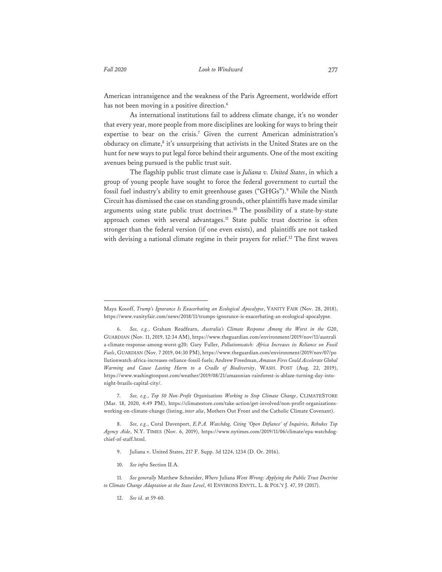American intransigence and the weakness of the Paris Agreement, worldwide effort has not been moving in a positive direction.<sup>6</sup>

As international institutions fail to address climate change, it's no wonder that every year, more people from more disciplines are looking for ways to bring their expertise to bear on the crisis.7 Given the current American administration's obduracy on climate,<sup>8</sup> it's unsurprising that activists in the United States are on the hunt for new ways to put legal force behind their arguments. One of the most exciting avenues being pursued is the public trust suit.

The flagship public trust climate case is *Juliana v. United States*, in which a group of young people have sought to force the federal government to curtail the fossil fuel industry's ability to emit greenhouse gases ("GHGs").9 While the Ninth Circuit has dismissed the case on standing grounds, other plaintiffs have made similar arguments using state public trust doctrines.<sup>10</sup> The possibility of a state-by-state approach comes with several advantages.<sup>11</sup> State public trust doctrine is often stronger than the federal version (if one even exists), and plaintiffs are not tasked with devising a national climate regime in their prayers for relief.<sup>12</sup> The first waves

- 9. Juliana v. United States, 217 F. Supp. 3d 1224, 1234 (D. Or. 2016).
- 10. *See infra* Section II.A.

12. *See id.* at 59-60.

Maya Kosoff, *Trump's Ignorance Is Exacerbating an Ecological Apocalypse*, VANITY FAIR (Nov. 28, 2018), https://www.vanityfair.com/news/2018/11/trumps-ignorance-is-exacerbating-an-ecological-apocalypse.

<sup>6.</sup> *See, e.g.*, Graham Readfearn, *Australia's Climate Response Among the Worst in the G20*, GUARDIAN (Nov. 11, 2019, 12:34 AM), https://www.theguardian.com/environment/2019/nov/11/australi a-climate-response-among-worst-g20; Gary Fuller, *Pollutionwatch: Africa Increases its Reliance on Fossil Fuels*, GUARDIAN (Nov. 7 2019, 04:30 PM), https://www.theguardian.com/environment/2019/nov/07/po llutionwatch-africa-increases-reliance-fossil-fuels; Andrew Freedman, *Amazon Fires Could Accelerate Global Warming and Cause Lasting Harm to a Cradle of Biodiversity*, WASH. POST (Aug. 22, 2019), https://www.washingtonpost.com/weather/2019/08/21/amazonian-rainforest-is-ablaze-turning-day-intonight-brazils-capital-city/.

<sup>7.</sup> *See, e.g.*, *Top 50 Non-Profit Organizations Working to Stop Climate Change*, CLIMATESTORE (Mar. 18, 2020, 4:49 PM), https://climatestore.com/take-action/get-involved/non-profit-organizationsworking-on-climate-change (listing, *inter alia*, Mothers Out Front and the Catholic Climate Covenant).

<sup>8.</sup> *See, e.g.*, Coral Davenport, *E.P.A. Watchdog, Citing 'Open Defiance' of Inquiries, Rebukes Top Agency Aide*, N.Y. TIMES (Nov. 6, 2019), https://www.nytimes.com/2019/11/06/climate/epa-watchdogchief-of-staff.html.

<sup>11.</sup> *See generally* Matthew Schneider, *Where* Juliana *Went Wrong: Applying the Public Trust Doctrine to Climate Change Adaptation at the State Level*, 41 ENVIRONS ENVTL. L. & POL'Y J. 47, 59 (2017).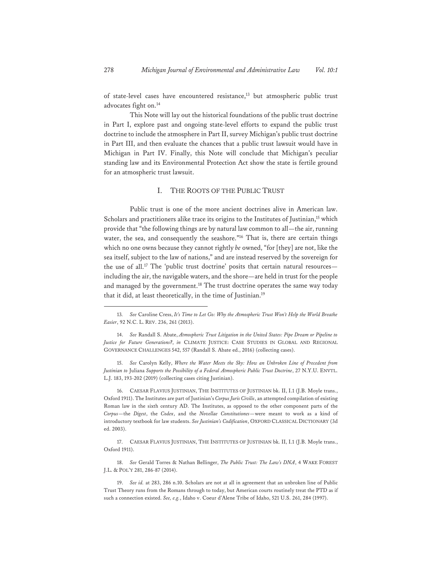of state-level cases have encountered resistance,<sup>13</sup> but atmospheric public trust advocates fight on.<sup>14</sup>

This Note will lay out the historical foundations of the public trust doctrine in Part I, explore past and ongoing state-level efforts to expand the public trust doctrine to include the atmosphere in Part II, survey Michigan's public trust doctrine in Part III, and then evaluate the chances that a public trust lawsuit would have in Michigan in Part IV. Finally, this Note will conclude that Michigan's peculiar standing law and its Environmental Protection Act show the state is fertile ground for an atmospheric trust lawsuit.

## I. THE ROOTS OF THE PUBLIC TRUST

Public trust is one of the more ancient doctrines alive in American law. Scholars and practitioners alike trace its origins to the Institutes of Justinian,<sup>15</sup> which provide that "the following things are by natural law common to all—the air, running water, the sea, and consequently the seashore."<sup>16</sup> That is, there are certain things which no one owns because they cannot rightly *be* owned, "for [they] are not, like the sea itself, subject to the law of nations," and are instead reserved by the sovereign for the use of all.<sup>17</sup> The 'public trust doctrine' posits that certain natural resourcesincluding the air, the navigable waters, and the shore—are held in trust for the people and managed by the government.<sup>18</sup> The trust doctrine operates the same way today that it did, at least theoretically, in the time of Justinian.19

16. CAESAR FLAVIUS JUSTINIAN, THE INSTITUTES OF JUSTINIAN bk. II, I.1 (J.B. Moyle trans., Oxford 1911). The Institutes are part of Justinian's *Corpus Juris Civilis*, an attempted compilation of existing Roman law in the sixth century AD. The Institutes, as opposed to the other component parts of the *Corpus*—the *Digest*, the *Codex*, and the *Novellae Constitutiones*—were meant to work as a kind of introductory textbook for law students. *See Justinian's Codification*, OXFORD CLASSICAL DICTIONARY (3d ed. 2003).

17. CAESAR FLAVIUS JUSTINIAN, THE INSTITUTES OF JUSTINIAN bk. II, I.1 (J.B. Moyle trans., Oxford 1911).

18. *See* Gerald Torres & Nathan Bellinger, *The Public Trust: The Law's DNA*, 4 WAKE FOREST J.L. & POL'Y 281, 286-87 (2014).

<sup>13</sup>*. See* Caroline Cress, *It's Time to Let Go: Why the Atmospheric Trust Won't Help the World Breathe Easier*, 92 N.C. L. REV. 236, 261 (2013).

<sup>14.</sup> *See* Randall S. Abate, *Atmospheric Trust Litigation in the United States: Pipe Dream or Pipeline to Justice for Future Generations?*, *in* CLIMATE JUSTICE: CASE STUDIES IN GLOBAL AND REGIONAL GOVERNANCE CHALLENGES 542, 557 (Randall S. Abate ed., 2016) (collecting cases).

<sup>15.</sup> *See* Carolyn Kelly, *Where the Water Meets the Sky: How an Unbroken Line of Precedent from Justinian to* Juliana *Supports the Possibility of a Federal Atmospheric Public Trust Doctrine*, 27 N.Y.U. ENVTL. L.J. 183, 193-202 (2019) (collecting cases citing Justinian).

<sup>19.</sup> *See id.* at 283, 286 n.10. Scholars are not at all in agreement that an unbroken line of Public Trust Theory runs from the Romans through to today, but American courts routinely treat the PTD as if such a connection existed. *See, e.g.*, Idaho v. Coeur d'Alene Tribe of Idaho, 521 U.S. 261, 284 (1997).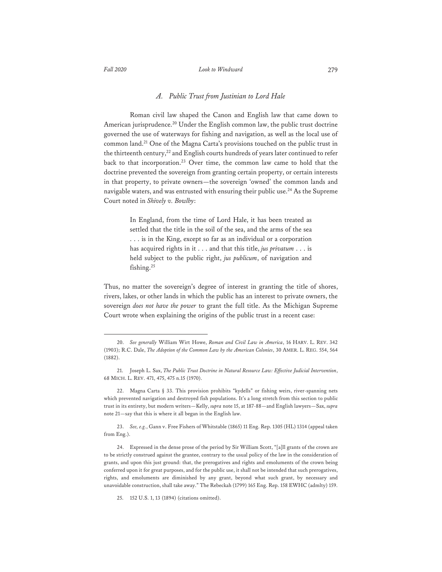### *Fall 2020 Look to Windward* 279

### *A. Public Trust from Justinian to Lord Hale*

Roman civil law shaped the Canon and English law that came down to American jurisprudence.<sup>20</sup> Under the English common law, the public trust doctrine governed the use of waterways for fishing and navigation, as well as the local use of common land.21 One of the Magna Carta's provisions touched on the public trust in the thirteenth century,<sup>22</sup> and English courts hundreds of years later continued to refer back to that incorporation.<sup>23</sup> Over time, the common law came to hold that the doctrine prevented the sovereign from granting certain property, or certain interests in that property, to private owners—the sovereign 'owned' the common lands and navigable waters, and was entrusted with ensuring their public use.<sup>24</sup> As the Supreme Court noted in *Shively v. Bowlby*:

> In England, from the time of Lord Hale, it has been treated as settled that the title in the soil of the sea, and the arms of the sea . . . is in the King, except so far as an individual or a corporation has acquired rights in it . . . and that this title, *jus privatum* . . . is held subject to the public right, *jus publicum*, of navigation and fishing.<sup>25</sup>

Thus, no matter the sovereign's degree of interest in granting the title of shores, rivers, lakes, or other lands in which the public has an interest to private owners, the sovereign *does not have the power* to grant the full title. As the Michigan Supreme Court wrote when explaining the origins of the public trust in a recent case:

<sup>20.</sup> *See generally* William Wirt Howe, *Roman and Civil Law in America*, 16 HARV. L. REV. 342 (1903); R.C. Dale, *The Adoption of the Common Law by the American Colonies*, 30 AMER. L. REG. 554, 564 (1882).

<sup>21.</sup> Joseph L. Sax, *The Public Trust Doctrine in Natural Resource Law: Effective Judicial Intervention*, 68 MICH. L. REV. 471, 475, 475 n.15 (1970).

<sup>22.</sup> Magna Carta § 33. This provision prohibits "kydells" or fishing weirs, river-spanning nets which prevented navigation and destroyed fish populations. It's a long stretch from this section to public trust in its entirety, but modern writers—Kelly, *supra* note 15, at 187-88—and English lawyers—Sax, *supra*  note 21—say that this is where it all began in the English law.

<sup>23.</sup> *See, e.g.*, Gann v. Free Fishers of Whitstable (1865) 11 Eng. Rep. 1305 (HL) 1314 (appeal taken from Eng.).

<sup>24.</sup> Expressed in the dense prose of the period by Sir William Scott, "[a]ll grants of the crown are to be strictly construed against the grantee, contrary to the usual policy of the law in the consideration of grants, and upon this just ground: that, the prerogatives and rights and emoluments of the crown being conferred upon it for great purposes, and for the public use, it shall not be intended that such prerogatives, rights, and emoluments are diminished by any grant, beyond what such grant, by necessary and unavoidable construction, shall take away." The Rebeckah (1799) 165 Eng. Rep. 158 EWHC (admlty) 159.

<sup>25. 152</sup> U.S. 1, 13 (1894) (citations omitted).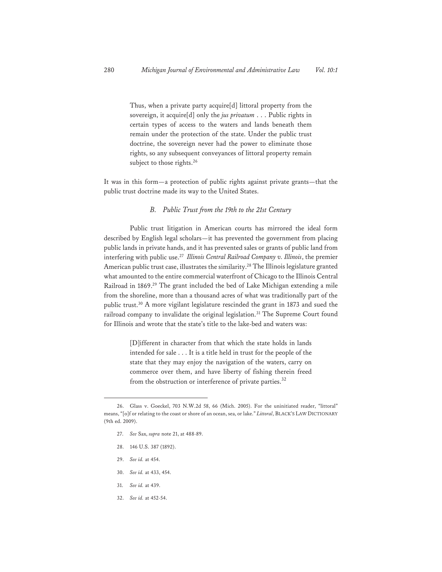Thus, when a private party acquire[d] littoral property from the sovereign, it acquire[d] only the *jus privatum* . . . Public rights in certain types of access to the waters and lands beneath them remain under the protection of the state. Under the public trust doctrine, the sovereign never had the power to eliminate those rights, so any subsequent conveyances of littoral property remain subject to those rights.<sup>26</sup>

It was in this form—a protection of public rights against private grants—that the public trust doctrine made its way to the United States.

## *B. Public Trust from the 19th to the 21st Century*

 Public trust litigation in American courts has mirrored the ideal form described by English legal scholars—it has prevented the government from placing public lands in private hands, and it has prevented sales or grants of public land from interfering with public use.27 *Illinois Central Railroad Company v. Illinois*, the premier American public trust case, illustrates the similarity.<sup>28</sup> The Illinois legislature granted what amounted to the entire commercial waterfront of Chicago to the Illinois Central Railroad in 1869.29 The grant included the bed of Lake Michigan extending a mile from the shoreline, more than a thousand acres of what was traditionally part of the public trust.30 A more vigilant legislature rescinded the grant in 1873 and sued the railroad company to invalidate the original legislation.<sup>31</sup> The Supreme Court found for Illinois and wrote that the state's title to the lake-bed and waters was:

> [D]ifferent in character from that which the state holds in lands intended for sale . . . It is a title held in trust for the people of the state that they may enjoy the navigation of the waters, carry on commerce over them, and have liberty of fishing therein freed from the obstruction or interference of private parties. $32$

- 28. 146 U.S. 387 (1892).
- 29. *See id.* at 454.
- 30. *See id.* at 433, 454.
- 31. *See id.* at 439.
- 32. *See id.* at 452-54.

<sup>26.</sup> Glass v. Goeckel, 703 N.W.2d 58, 66 (Mich. 2005). For the uninitiated reader, "littoral" means, "[o]f or relating to the coast or shore of an ocean, sea, or lake." *Littoral*, BLACK'S LAW DICTIONARY (9th ed. 2009).

<sup>27.</sup> *See* Sax, *supra* note 21, at 488-89.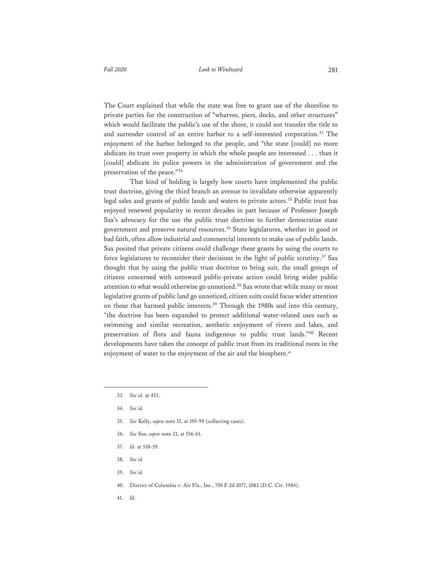The Court explained that while the state was free to grant use of the shoreline to private parties for the construction of "wharves, piers, docks, and other structures" which would facilitate the public's use of the shore, it could not transfer the title to and surrender control of an entire harbor to a self-interested corporation.<sup>33</sup> The enjoyment of the harbor belonged to the people, and "the state [could] no more abdicate its trust over property in which the whole people are interested . . . than it [could] abdicate its police powers in the administration of government and the preservation of the peace."34

 That kind of holding is largely how courts have implemented the public trust doctrine, giving the third branch an avenue to invalidate otherwise apparently legal sales and grants of public lands and waters to private actors.<sup>35</sup> Public trust has enjoyed renewed popularity in recent decades in part because of Professor Joseph Sax's advocacy for the use the public trust doctrine to further democratize state government and preserve natural resources.36 State legislatures, whether in good or bad faith, often allow industrial and commercial interests to make use of public lands. Sax posited that private citizens could challenge these grants by using the courts to force legislatures to reconsider their decisions in the light of public scrutiny.<sup>37</sup> Sax thought that by using the public trust doctrine to bring suit, the small groups of citizens concerned with untoward public-private action could bring wider public attention to what would otherwise go unnoticed.38 Sax wrote that while many or most legislative grants of public land go unnoticed, citizen suits could focus wider attention on those that harmed public interests.39 Through the 1980s and into this century, "the doctrine has been expanded to protect additional water-related uses such as swimming and similar recreation, aesthetic enjoyment of rivers and lakes, and preservation of flora and fauna indigenous to public trust lands."40 Recent developments have taken the concept of public trust from its traditional roots in the enjoyment of water to the enjoyment of the air and the biosphere.<sup>41</sup>

- 35. *See* Kelly, *supra* note 15, at 195-99 (collecting cases).
- 36. *See* Sax, *supra* note 21, at 556-61.
- 37. *Id.* at 558-59.
- 38. *See id.*
- 39. *See id.*
- 40. District of Columbia v. Air Fla., Inc., 750 F.2d 1077, 1083 (D.C. Cir. 1984).
- 41. *Id.*

<sup>33</sup>*. See id.* at 453.

<sup>34.</sup> *See id.*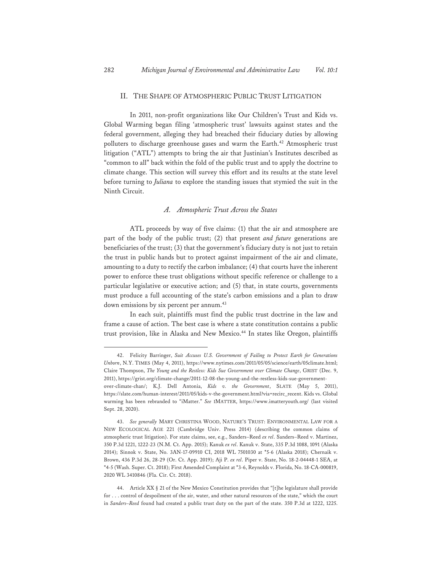## II. THE SHAPE OF ATMOSPHERIC PUBLIC TRUST LITIGATION

 In 2011, non-profit organizations like Our Children's Trust and Kids vs. Global Warming began filing 'atmospheric trust' lawsuits against states and the federal government, alleging they had breached their fiduciary duties by allowing polluters to discharge greenhouse gases and warm the Earth.<sup>42</sup> Atmospheric trust litigation ("ATL") attempts to bring the air that Justinian's Institutes described as "common to all" back within the fold of the public trust and to apply the doctrine to climate change. This section will survey this effort and its results at the state level before turning to *Juliana* to explore the standing issues that stymied the suit in the Ninth Circuit.

## *A. Atmospheric Trust Across the States*

ATL proceeds by way of five claims: (1) that the air and atmosphere are part of the body of the public trust; (2) that present *and future* generations are beneficiaries of the trust; (3) that the government's fiduciary duty is not just to retain the trust in public hands but to protect against impairment of the air and climate, amounting to a duty to rectify the carbon imbalance; (4) that courts have the inherent power to enforce these trust obligations without specific reference or challenge to a particular legislative or executive action; and (5) that, in state courts, governments must produce a full accounting of the state's carbon emissions and a plan to draw down emissions by six percent per annum.<sup>43</sup>

 In each suit, plaintiffs must find the public trust doctrine in the law and frame a cause of action. The best case is where a state constitution contains a public trust provision, like in Alaska and New Mexico.<sup>44</sup> In states like Oregon, plaintiffs

<sup>42.</sup> Felicity Barringer, *Suit Accuses U.S. Government of Failing to Protect Earth for Generations Unborn*, N.Y. TIMES (May 4, 2011), https://www.nytimes.com/2011/05/05/science/earth/05climate.html; Claire Thompson, *The Young and the Restless: Kids Sue Government over Climate Change*, GRIST (Dec. 9, 2011), https://grist.org/climate-change/2011-12-08-the-young-and-the-restless-kids-sue-governmentover-climate-chan/; K.J. Dell Antonia, *Kids v. the Government*, SLATE (May 5, 2011), https://slate.com/human-interest/2011/05/kids-v-the-government.html?via=recirc\_recent. Kids vs. Global warming has been rebranded to "iMatter." *See* IMATTER, https://www.imatteryouth.org/ (last visited Sept. 28, 2020).

<sup>43.</sup> *See generally* MARY CHRISTINA WOOD, NATURE'S TRUST: ENVIRONMENTAL LAW FOR A NEW ECOLOGICAL AGE 221 (Cambridge Univ. Press 2014) (describing the common claims of atmospheric trust litigation). For state claims, see, e.g., Sanders–Reed *ex rel*. Sanders–Reed v. Martinez, 350 P.3d 1221, 1222-23 (N.M. Ct. App. 2015); Kanuk *ex rel*. Kanuk v. State, 335 P.3d 1088, 1091 (Alaska 2014); Sinnok v. State, No. 3AN-17-09910 CI, 2018 WL 7501030 at \*5-6 (Alaska 2018); Chernaik v. Brown, 436 P.3d 26, 28-29 (Or. Ct. App. 2019); Aji P. *ex rel*. Piper v. State, No. 18-2-04448-1 SEA, at \*4-5 (Wash. Super. Ct. 2018); First Amended Complaint at \*3-6, Reynolds v. Florida, No. 18-CA-000819, 2020 WL 3410846 (Fla. Cir. Ct. 2018).

<sup>44.</sup> Article XX § 21 of the New Mexico Constitution provides that "[t]he legislature shall provide for . . . control of despoilment of the air, water, and other natural resources of the state," which the court in *Sanders–Reed* found had created a public trust duty on the part of the state. 350 P.3d at 1222, 1225.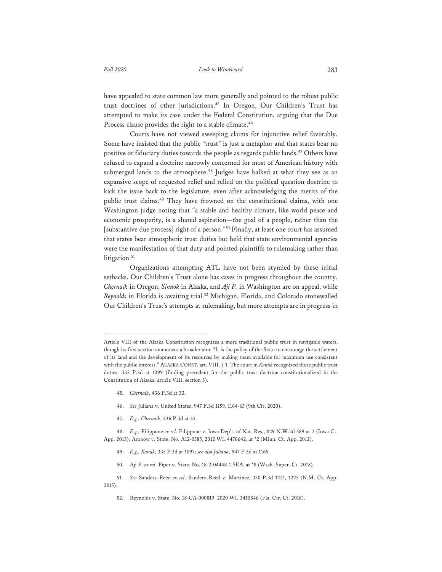have appealed to state common law more generally and pointed to the robust public trust doctrines of other jurisdictions.45 In Oregon, Our Children's Trust has attempted to make its case under the Federal Constitution, arguing that the Due Process clause provides the right to a stable climate.<sup>46</sup>

Courts have not viewed sweeping claims for injunctive relief favorably. Some have insisted that the public "trust" is just a metaphor and that states bear no positive or fiduciary duties towards the people as regards public lands.<sup>47</sup> Others have refused to expand a doctrine narrowly concerned for most of American history with submerged lands to the atmosphere.<sup>48</sup> Judges have balked at what they see as an expansive scope of requested relief and relied on the political question doctrine to kick the issue back to the legislature, even after acknowledging the merits of the public trust claims.<sup>49</sup> They have frowned on the constitutional claims, with one Washington judge noting that "a stable and healthy climate, like world peace and economic prosperity, is a shared aspiration—the goal of a people, rather than the [substantive due process] right of a person."50 Finally, at least one court has assumed that states bear atmospheric trust duties but held that state environmental agencies were the manifestation of that duty and pointed plaintiffs to rulemaking rather than litigation.<sup>51</sup>

 Organizations attempting ATL have not been stymied by these initial setbacks. Our Children's Trust alone has cases in progress throughout the country. *Chernaik* in Oregon, *Sinnok* in Alaska, and *Aji P.* in Washington are on appeal, while *Reynolds* in Florida is awaiting trial.52 Michigan, Florida, and Colorado stonewalled Our Children's Trust's attempts at rulemaking, but more attempts are in progress in

- 45. *Chernaik*, 436 P.3d at 33.
- 46. *See* Juliana v. United States, 947 F.3d 1159, 1164-65 (9th Cir. 2020).
- 47. *E.g., Chernaik*, 436 P.3d at 35.
- 48. *E.g.,* Filippone *ex rel*. Filippone v. Iowa Dep't. of Nat. Res., 829 N.W.2d 589 at 2 (Iowa Ct. App. 2013); Aronow v. State, No. A12-0585, 2012 WL 4476642, at \*2 (Minn. Ct. App. 2012).
	- 49. *E.g., Kanuk*, 335 P.3d at 1097; *see also Juliana*, 947 F.3d at 1165.
	- 50. Aji P. *ex rel*. Piper v. State, No. 18-2-04448-1 SEA, at \*8 (Wash. Super. Ct. 2018).
- 51. *See* Sanders–Reed *ex rel*. Sanders–Reed v. Martinez, 350 P.3d 1221, 1225 (N.M. Ct. App. 2015).
	- 52. Reynolds v. State, No. 18-CA-000819, 2020 WL 3410846 (Fla. Cir. Ct. 2018).

Article VIII of the Alaska Constitution recognizes a more traditional public trust in navigable waters, though its first section announces a broader aim: "It is the policy of the State to encourage the settlement of its land and the development of its resources by making them available for maximum use consistent with the public interest." ALASKA CONST. art. VIII, § 1. The court in *Kanuk* recognized those public trust duties. 335 P.3d at 1099 (finding precedent for the public trust doctrine constitutionalized in the Constitution of Alaska, article VIII, section 3).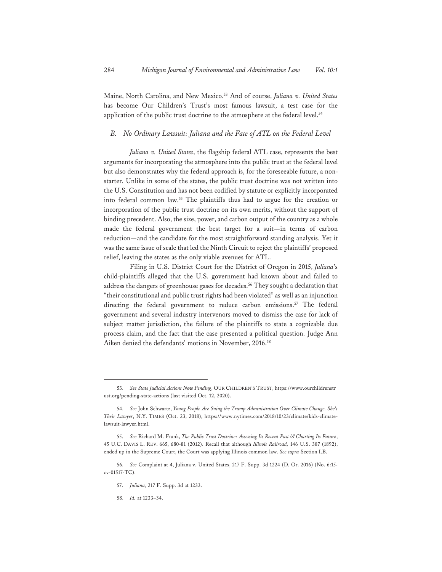Maine, North Carolina, and New Mexico.53 And of course, *Juliana v. United States* has become Our Children's Trust's most famous lawsuit, a test case for the application of the public trust doctrine to the atmosphere at the federal level.<sup>54</sup>

## *B. No Ordinary Lawsuit: Juliana and the Fate of ATL on the Federal Level*

*Juliana v. United States*, the flagship federal ATL case, represents the best arguments for incorporating the atmosphere into the public trust at the federal level but also demonstrates why the federal approach is, for the foreseeable future, a nonstarter. Unlike in some of the states, the public trust doctrine was not written into the U.S. Constitution and has not been codified by statute or explicitly incorporated into federal common law.55 The plaintiffs thus had to argue for the creation or incorporation of the public trust doctrine on its own merits, without the support of binding precedent. Also, the size, power, and carbon output of the country as a whole made the federal government the best target for a suit—in terms of carbon reduction—and the candidate for the most straightforward standing analysis. Yet it was the same issue of scale that led the Ninth Circuit to reject the plaintiffs' proposed relief, leaving the states as the only viable avenues for ATL.

Filing in U.S. District Court for the District of Oregon in 2015, *Juliana*'s child-plaintiffs alleged that the U.S. government had known about and failed to address the dangers of greenhouse gases for decades.<sup>56</sup> They sought a declaration that "their constitutional and public trust rights had been violated" as well as an injunction directing the federal government to reduce carbon emissions.<sup>57</sup> The federal government and several industry intervenors moved to dismiss the case for lack of subject matter jurisdiction, the failure of the plaintiffs to state a cognizable due process claim, and the fact that the case presented a political question. Judge Ann Aiken denied the defendants' motions in November, 2016.<sup>58</sup>

58. *Id.* at 1233–34.

<sup>53.</sup> *See State Judicial Actions Now Pending*, OUR CHILDREN'S TRUST, https://www.ourchildrenstr ust.org/pending-state-actions (last visited Oct. 12, 2020).

<sup>54.</sup> *See* John Schwartz, *Young People Are Suing the Trump Administration Over Climate Change. She's Their Lawyer*, N.Y. TIMES (Oct. 23, 2018), https://www.nytimes.com/2018/10/23/climate/kids-climatelawsuit-lawyer.html.

<sup>55.</sup> *See* Richard M. Frank, *The Public Trust Doctrine: Assessing Its Recent Past & Charting Its Future*, 45 U.C. DAVIS L. REV. 665, 680-81 (2012). Recall that although *Illinois Railroad,* 146 U.S. 387 (1892), ended up in the Supreme Court, the Court was applying Illinois common law. *See supra* Section I.B.

<sup>56.</sup> *See* Complaint at 4, Juliana v. United States, 217 F. Supp. 3d 1224 (D. Or. 2016) (No. 6:15 cv-01517-TC).

<sup>57.</sup> *Juliana*, 217 F. Supp. 3d at 1233.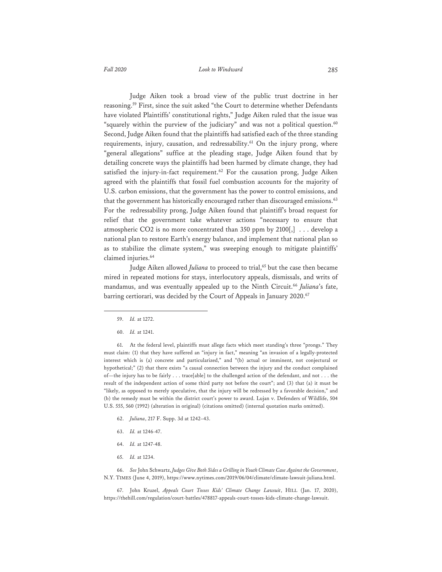Judge Aiken took a broad view of the public trust doctrine in her reasoning.<sup>59</sup> First, since the suit asked "the Court to determine whether Defendants have violated Plaintiffs' constitutional rights," Judge Aiken ruled that the issue was "squarely within the purview of the judiciary" and was not a political question. $60$ Second, Judge Aiken found that the plaintiffs had satisfied each of the three standing requirements, injury, causation, and redressability.<sup>61</sup> On the injury prong, where "general allegations" suffice at the pleading stage, Judge Aiken found that by detailing concrete ways the plaintiffs had been harmed by climate change, they had satisfied the injury-in-fact requirement.<sup>62</sup> For the causation prong, Judge Aiken agreed with the plaintiffs that fossil fuel combustion accounts for the majority of U.S. carbon emissions, that the government has the power to control emissions, and that the government has historically encouraged rather than discouraged emissions.<sup>63</sup> For the redressability prong, Judge Aiken found that plaintiff's broad request for relief that the government take whatever actions "necessary to ensure that atmospheric CO2 is no more concentrated than 350 ppm by 2100[,] . . . develop a national plan to restore Earth's energy balance, and implement that national plan so as to stabilize the climate system," was sweeping enough to mitigate plaintiffs' claimed injuries.<sup>64</sup>

Judge Aiken allowed *Juliana* to proceed to trial,<sup>65</sup> but the case then became mired in repeated motions for stays, interlocutory appeals, dismissals, and writs of mandamus, and was eventually appealed up to the Ninth Circuit.<sup>66</sup> Juliana's fate, barring certiorari, was decided by the Court of Appeals in January 2020.<sup>67</sup>

61. At the federal level, plaintiffs must allege facts which meet standing's three "prongs." They must claim: (1) that they have suffered an "injury in fact," meaning "an invasion of a legally-protected interest which is (a) concrete and particularized," and "(b) actual or imminent, not conjectural or hypothetical;" (2) that there exists "a causal connection between the injury and the conduct complained of—the injury has to be fairly . . . trace[able] to the challenged action of the defendant, and not . . . the result of the independent action of some third party not before the court"; and (3) that (a) it must be "likely, as opposed to merely speculative, that the injury will be redressed by a favorable decision," and (b) the remedy must be within the district court's power to award. Lujan v. Defenders of Wildlife, 504 U.S. 555, 560 (1992) (alteration in original) (citations omitted) (internal quotation marks omitted).

- 62. *Juliana*, 217 F. Supp. 3d at 1242–43.
- 63. *Id.* at 1246-47.
- 64. *Id.* at 1247-48.
- 65. *Id.* at 1234.

66. *See* John Schwartz, *Judges Give Both Sides a Grilling in Youth Climate Case Against the Government*, N.Y. TIMES (June 4, 2019), https://www.nytimes.com/2019/06/04/climate/climate-lawsuit-juliana.html.

67. John Kruzel, *Appeals Court Tosses Kids' Climate Change Lawsuit*, HILL (Jan. 17, 2020), https://thehill.com/regulation/court-battles/478817-appeals-court-tosses-kids-climate-change-lawsuit.

<sup>59.</sup> *Id.* at 1272.

<sup>60.</sup> *Id.* at 1241.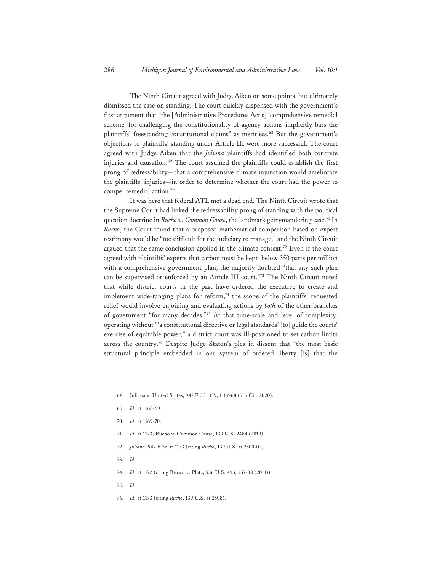The Ninth Circuit agreed with Judge Aiken on some points, but ultimately dismissed the case on standing. The court quickly dispensed with the government's first argument that "the [Administrative Procedures Act's] 'comprehensive remedial scheme' for challenging the constitutionality of agency actions implicitly bars the plaintiffs' freestanding constitutional claims" as meritless.<sup>68</sup> But the government's objections to plaintiffs' standing under Article III were more successful. The court agreed with Judge Aiken that the *Juliana* plaintiffs had identified both concrete injuries and causation.<sup>69</sup> The court assumed the plaintiffs could establish the first prong of redressability—that a comprehensive climate injunction would ameliorate the plaintiffs' injuries—in order to determine whether the court had the power to compel remedial action.70

It was here that federal ATL met a dead end. The Ninth Circuit wrote that the Supreme Court had linked the redressability prong of standing with the political question doctrine in *Rucho v. Common Cause*, the landmark gerrymandering case.<sup>71</sup> In *Rucho*, the Court found that a proposed mathematical comparison based on expert testimony would be "too difficult for the judiciary to manage," and the Ninth Circuit argued that the same conclusion applied in the climate context.<sup>72</sup> Even if the court agreed with plaintiffs' experts that carbon must be kept below 350 parts per million with a comprehensive government plan, the majority doubted "that any such plan can be supervised or enforced by an Article III court."73 The Ninth Circuit noted that while district courts in the past have ordered the executive to create and implement wide-ranging plans for reform, $74$  the scope of the plaintiffs' requested relief would involve enjoining and evaluating actions by *both* of the other branches of government "for many decades."75 At that time-scale and level of complexity, operating without "'a constitutional directive or legal standards' [to] guide the courts' exercise of equitable power," a district court was ill-positioned to set carbon limits across the country.76 Despite Judge Staton's plea in dissent that "the most basic structural principle embedded in our system of ordered liberty [is] that the

- 71. *Id.* at 1173; Rucho v. Common Cause, 139 U.S. 2484 (2019).
- 72. *Juliana*, 947 F.3d at 1173 (citing *Rucho*, 139 U.S. at 2500-02).
- 73. *Id.*
- 74. *Id.* at 1172 (citing Brown v. Plata, 536 U.S. 493, 537-38 (2011)).
- 75. *Id.*
- 76. *Id.* at 1173 (citing *Rucho*, 139 U.S. at 2508).

<sup>68.</sup> Juliana v. United States, 947 F.3d 1159, 1167-68 (9th Cir. 2020).

<sup>69.</sup> *Id.* at 1168-69.

<sup>70.</sup> *Id.* at 1169-70.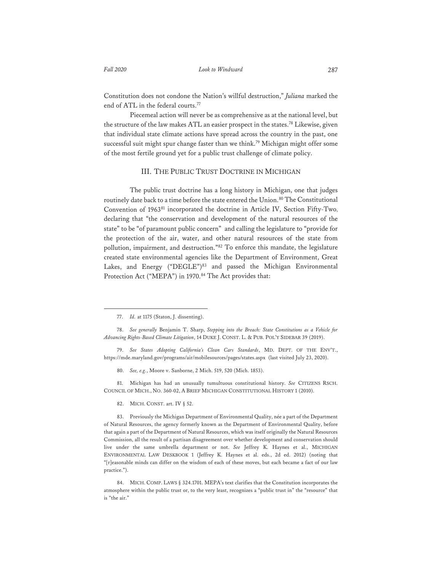Constitution does not condone the Nation's willful destruction," *Juliana* marked the end of ATL in the federal courts.<sup>77</sup>

Piecemeal action will never be as comprehensive as at the national level, but the structure of the law makes ATL an easier prospect in the states.78 Likewise, given that individual state climate actions have spread across the country in the past, one successful suit might spur change faster than we think.79 Michigan might offer some of the most fertile ground yet for a public trust challenge of climate policy.

## III. THE PUBLIC TRUST DOCTRINE IN MICHIGAN

The public trust doctrine has a long history in Michigan, one that judges routinely date back to a time before the state entered the Union.<sup>80</sup> The Constitutional Convention of 196381 incorporated the doctrine in Article IV, Section Fifty-Two, declaring that "the conservation and development of the natural resources of the state" to be "of paramount public concern" and calling the legislature to "provide for the protection of the air, water, and other natural resources of the state from pollution, impairment, and destruction."82 To enforce this mandate, the legislature created state environmental agencies like the Department of Environment, Great Lakes, and Energy ("DEGLE")<sup>83</sup> and passed the Michigan Environmental Protection Act ("MEPA") in 1970.<sup>84</sup> The Act provides that:

80. *See, e.g.*, Moore v. Sanborne, 2 Mich. 519, 520 (Mich. 1853).

81. Michigan has had an unusually tumultuous constitutional history. *See* CITIZENS RSCH. COUNCIL OF MICH., NO. 360-02, A BRIEF MICHIGAN CONSTITUTIONAL HISTORY 1 (2010).

82. MICH. CONST. art. IV § 52.

83. Previously the Michigan Department of Environmental Quality, née a part of the Department of Natural Resources, the agency formerly known as the Department of Environmental Quality, before that again a part of the Department of Natural Resources, which was itself originally the Natural Resources Commission, all the result of a partisan disagreement over whether development and conservation should live under the same umbrella department or not. *See* Jeffrey K. Haynes et al., MICHIGAN ENVIRONMENTAL LAW DESKBOOK 1 (Jeffrey K. Haynes et al. eds., 2d ed. 2012) (noting that "[r]easonable minds can differ on the wisdom of each of these moves, but each became a fact of our law practice.").

<sup>77.</sup> *Id.* at 1175 (Staton, J. dissenting).

<sup>78.</sup> *See generally* Benjamin T. Sharp, *Stepping into the Breach: State Constitutions as a Vehicle for Advancing Rights-Based Climate Litigation*, 14 DUKE J. CONST. L. & PUB. POL'Y SIDEBAR 39 (2019).

<sup>79.</sup> *See States Adopting California's Clean Cars Standards*, MD. DEPT. OF THE ENV'T., https://mde.maryland.gov/programs/air/mobilesources/pages/states.aspx (last visited July 23, 2020).

<sup>84.</sup> MICH. COMP. LAWS § 324.1701. MEPA's text clarifies that the Constitution incorporates the atmosphere within the public trust or, to the very least, recognizes a "public trust in" the "resource" that is "the air."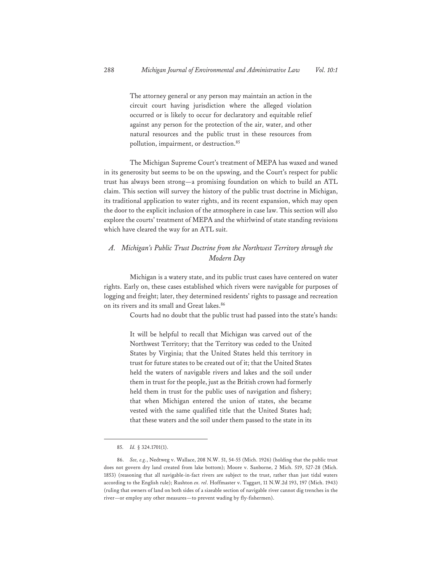The attorney general or any person may maintain an action in the circuit court having jurisdiction where the alleged violation occurred or is likely to occur for declaratory and equitable relief against any person for the protection of the air, water, and other natural resources and the public trust in these resources from pollution, impairment, or destruction.<sup>85</sup>

The Michigan Supreme Court's treatment of MEPA has waxed and waned in its generosity but seems to be on the upswing, and the Court's respect for public trust has always been strong—a promising foundation on which to build an ATL claim. This section will survey the history of the public trust doctrine in Michigan, its traditional application to water rights, and its recent expansion, which may open the door to the explicit inclusion of the atmosphere in case law. This section will also explore the courts' treatment of MEPA and the whirlwind of state standing revisions which have cleared the way for an ATL suit.

## *A. Michigan's Public Trust Doctrine from the Northwest Territory through the Modern Day*

 Michigan is a watery state, and its public trust cases have centered on water rights. Early on, these cases established which rivers were navigable for purposes of logging and freight; later, they determined residents' rights to passage and recreation on its rivers and its small and Great lakes.<sup>86</sup>

Courts had no doubt that the public trust had passed into the state's hands:

It will be helpful to recall that Michigan was carved out of the Northwest Territory; that the Territory was ceded to the United States by Virginia; that the United States held this territory in trust for future states to be created out of it; that the United States held the waters of navigable rivers and lakes and the soil under them in trust for the people, just as the British crown had formerly held them in trust for the public uses of navigation and fishery; that when Michigan entered the union of states, she became vested with the same qualified title that the United States had; that these waters and the soil under them passed to the state in its

<sup>85.</sup> *Id.* § 324.1701(1).

<sup>86.</sup> *See, e.g.*, Nedtweg v. Wallace, 208 N.W. 51, 54-55 (Mich. 1926) (holding that the public trust does not govern dry land created from lake bottom); Moore v. Sanborne, 2 Mich. 519, 527-28 (Mich. 1853) (reasoning that all navigable-in-fact rivers are subject to the trust, rather than just tidal waters according to the English rule); Rushton *ex. rel*. Hoffmaster v. Taggart, 11 N.W.2d 193, 197 (Mich. 1943) (ruling that owners of land on both sides of a sizeable section of navigable river cannot dig trenches in the river—or employ any other measures—to prevent wading by fly-fishermen).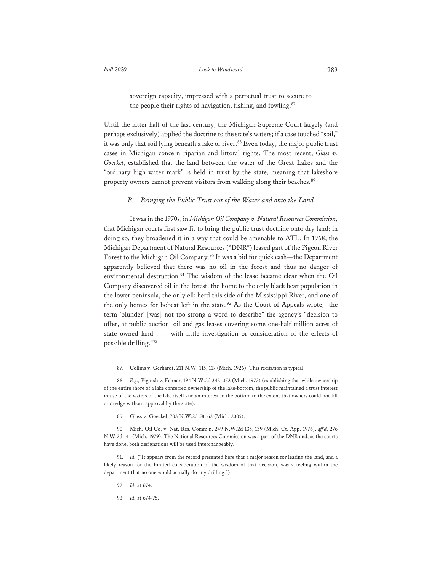sovereign capacity, impressed with a perpetual trust to secure to the people their rights of navigation, fishing, and fowling.<sup>87</sup>

Until the latter half of the last century, the Michigan Supreme Court largely (and perhaps exclusively) applied the doctrine to the state's waters; if a case touched "soil," it was only that soil lying beneath a lake or river.<sup>88</sup> Even today, the major public trust cases in Michigan concern riparian and littoral rights. The most recent, *Glass v. Goeckel*, established that the land between the water of the Great Lakes and the "ordinary high water mark" is held in trust by the state, meaning that lakeshore property owners cannot prevent visitors from walking along their beaches.<sup>89</sup>

#### *B. Bringing the Public Trust out of the Water and onto the Land*

It was in the 1970s, in *Michigan Oil Company v. Natural Resources Commission,* that Michigan courts first saw fit to bring the public trust doctrine onto dry land; in doing so, they broadened it in a way that could be amenable to ATL. In 1968, the Michigan Department of Natural Resources ("DNR") leased part of the Pigeon River Forest to the Michigan Oil Company.<sup>90</sup> It was a bid for quick cash—the Department apparently believed that there was no oil in the forest and thus no danger of environmental destruction.<sup>91</sup> The wisdom of the lease became clear when the Oil Company discovered oil in the forest, the home to the only black bear population in the lower peninsula, the only elk herd this side of the Mississippi River, and one of the only homes for bobcat left in the state.<sup>92</sup> As the Court of Appeals wrote, "the term 'blunder' [was] not too strong a word to describe" the agency's "decision to offer, at public auction, oil and gas leases covering some one-half million acres of state owned land . . . with little investigation or consideration of the effects of possible drilling."<sup>93</sup>

89. Glass v. Goeckel, 703 N.W.2d 58, 62 (Mich. 2005).

93. *Id.* at 674-75.

<sup>87.</sup> Collins v. Gerhardt, 211 N.W. 115, 117 (Mich. 1926). This recitation is typical.

<sup>88.</sup> *E.g.,* Pigorsh v. Fahner, 194 N.W.2d 343, 353 (Mich. 1972) (establishing that while ownership of the entire shore of a lake conferred ownership of the lake-bottom, the public maintained a trust interest in use of the waters of the lake itself and an interest in the bottom to the extent that owners could not fill or dredge without approval by the state).

<sup>90.</sup> Mich. Oil Co. v. Nat. Res. Comm'n, 249 N.W.2d 135, 139 (Mich. Ct. App. 1976), *aff'd*, 276 N.W.2d 141 (Mich. 1979). The National Resources Commission was a part of the DNR and, as the courts have done, both designations will be used interchangeably.

<sup>91.</sup> *Id.* ("It appears from the record presented here that a major reason for leasing the land, and a likely reason for the limited consideration of the wisdom of that decision, was a feeling within the department that no one would actually do any drilling.").

<sup>92.</sup> *Id.* at 674.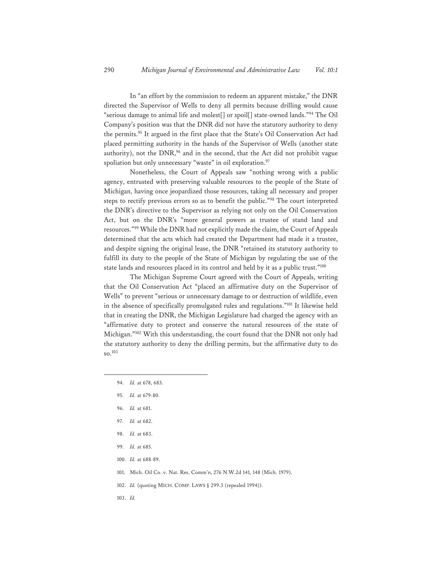In "an effort by the commission to redeem an apparent mistake," the DNR directed the Supervisor of Wells to deny all permits because drilling would cause "serious damage to animal life and molest[] or spoil[] state-owned lands."94 The Oil Company's position was that the DNR did not have the statutory authority to deny the permits.95 It argued in the first place that the State's Oil Conservation Act had placed permitting authority in the hands of the Supervisor of Wells (another state authority), not the  $DNR<sub>1</sub><sup>96</sup>$  and in the second, that the Act did not prohibit vague spoliation but only unnecessary "waste" in oil exploration.<sup>97</sup>

Nonetheless, the Court of Appeals saw "nothing wrong with a public agency, entrusted with preserving valuable resources to the people of the State of Michigan, having once jeopardized those resources, taking all necessary and proper steps to rectify previous errors so as to benefit the public."98 The court interpreted the DNR's directive to the Supervisor as relying not only on the Oil Conservation Act, but on the DNR's "more general powers as trustee of stand land and resources."99 While the DNR had not explicitly made the claim, the Court of Appeals determined that the acts which had created the Department had made it a trustee, and despite signing the original lease, the DNR "retained its statutory authority to fulfill its duty to the people of the State of Michigan by regulating the use of the state lands and resources placed in its control and held by it as a public trust."100

The Michigan Supreme Court agreed with the Court of Appeals, writing that the Oil Conservation Act "placed an affirmative duty on the Supervisor of Wells" to prevent "serious or unnecessary damage to or destruction of wildlife, even in the absence of specifically promulgated rules and regulations."101 It likewise held that in creating the DNR, the Michigan Legislature had charged the agency with an "affirmative duty to protect and conserve the natural resources of the state of Michigan."102 With this understanding, the court found that the DNR not only had the statutory authority to deny the drilling permits, but the affirmative duty to do so.103

- 94. *Id.* at 678, 683.
- 95. *Id.* at 679-80.
- 96. *Id.* at 681.
- 97. *Id.* at 682.
- 98. *Id.* at 683.
- 99. *Id.* at 685.
- 100. *Id.* at 688-89.
- 101. Mich. Oil Co. v. Nat. Res. Comm'n, 276 N.W.2d 141, 148 (Mich. 1979).
- 102. *Id.* (quoting MICH. COMP. LAWS § 299.3 (repealed 1994)).
- 103. *Id.*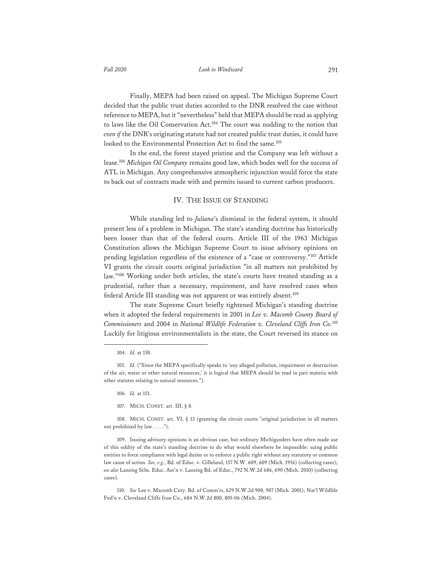Finally, MEPA had been raised on appeal. The Michigan Supreme Court decided that the public trust duties accorded to the DNR resolved the case without reference to MEPA, but it "nevertheless" held that MEPA should be read as applying to laws like the Oil Conservation Act.<sup>104</sup> The court was nodding to the notion that *even if* the DNR's originating statute had not created public trust duties, it could have looked to the Environmental Protection Act to find the same.<sup>105</sup>

 In the end, the forest stayed pristine and the Company was left without a lease.106 *Michigan Oil Company* remains good law, which bodes well for the success of ATL in Michigan. Any comprehensive atmospheric injunction would force the state to back out of contracts made with and permits issued to current carbon producers.

#### IV. THE ISSUE OF STANDING

While standing led to *Juliana*'s dismissal in the federal system, it should present less of a problem in Michigan. The state's standing doctrine has historically been looser than that of the federal courts. Article III of the 1963 Michigan Constitution allows the Michigan Supreme Court to issue advisory opinions on pending legislation regardless of the existence of a "case or controversy."107 Article VI grants the circuit courts original jurisdiction "in all matters not prohibited by law."108 Working under both articles, the state's courts have treated standing as a prudential, rather than a necessary, requirement, and have resolved cases when federal Article III standing was not apparent or was entirely absent.<sup>109</sup>

The state Supreme Court briefly tightened Michigan's standing doctrine when it adopted the federal requirements in 2001 in *Lee v. Macomb County Board of Commissioners* and 2004 in *National Wildlife Federation v. Cleveland Cliffs Iron Co.*<sup>110</sup> Luckily for litigious environmentalists in the state, the Court reversed its stance on

<sup>104.</sup> *Id.* at 150.

<sup>105.</sup> *Id.* ("Since the MEPA specifically speaks to 'any alleged pollution, impairment or destruction of the air, water or other natural resources,' it is logical that MEPA should be read in pari materia with other statutes relating to natural resources.").

<sup>106.</sup> *Id.* at 151.

<sup>107.</sup> MICH. CONST. art. III, § 8.

<sup>108.</sup> MICH. CONST. art. VI, § 13 (granting the circuit courts "original jurisdiction in all matters not prohibited by law . . . .").

<sup>109.</sup> Issuing advisory opinions is an obvious case, but ordinary Michiganders have often made use of this oddity of the state's standing doctrine to do what would elsewhere be impossible: suing public entities to force compliance with legal duties or to enforce a public right without any statutory or common law cause of action. *See, e.g.*, Bd. of Educ. v. Gilleland, 157 N.W. 609, 609 (Mich. 1916) (collecting cases); *see also* Lansing Schs. Educ. Ass'n v. Lansing Bd. of Educ., 792 N.W.2d 686, 690 (Mich. 2010) (collecting cases).

<sup>110.</sup> *See* Lee v. Macomb Cnty. Bd. of Comm'rs, 629 N.W.2d 900, 907 (Mich. 2001); Nat'l Wildlife Fed'n v. Cleveland Cliffs Iron Co., 684 N.W.2d 800, 805-06 (Mich. 2004).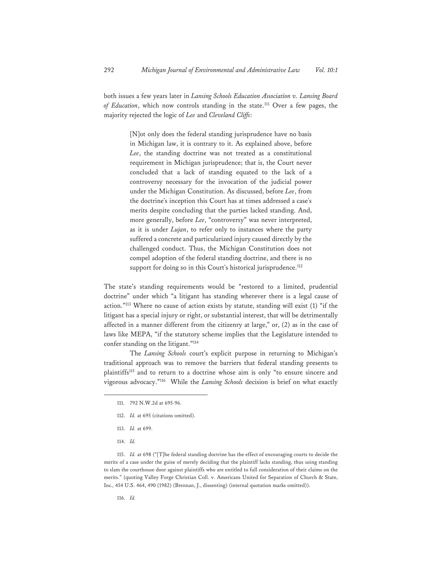both issues a few years later in *Lansing Schools Education Association v. Lansing Board of Education*, which now controls standing in the state.111 Over a few pages, the majority rejected the logic of *Lee* and *Cleveland Cliffs*:

> [N]ot only does the federal standing jurisprudence have no basis in Michigan law, it is contrary to it. As explained above, before *Lee*, the standing doctrine was not treated as a constitutional requirement in Michigan jurisprudence; that is, the Court never concluded that a lack of standing equated to the lack of a controversy necessary for the invocation of the judicial power under the Michigan Constitution. As discussed, before *Lee*, from the doctrine's inception this Court has at times addressed a case's merits despite concluding that the parties lacked standing. And, more generally, before *Lee*, "controversy" was never interpreted, as it is under *Lujan*, to refer only to instances where the party suffered a concrete and particularized injury caused directly by the challenged conduct. Thus, the Michigan Constitution does not compel adoption of the federal standing doctrine, and there is no support for doing so in this Court's historical jurisprudence.<sup>112</sup>

The state's standing requirements would be "restored to a limited, prudential doctrine" under which "a litigant has standing wherever there is a legal cause of action."113 Where no cause of action exists by statute, standing will exist (1) "if the litigant has a special injury or right, or substantial interest, that will be detrimentally affected in a manner different from the citizenry at large," or, (2) as in the case of laws like MEPA, "if the statutory scheme implies that the Legislature intended to confer standing on the litigant."114

 The *Lansing Schools* court's explicit purpose in returning to Michigan's traditional approach was to remove the barriers that federal standing presents to plaintiffs115 and to return to a doctrine whose aim is only "to ensure sincere and vigorous advocacy."116 While the *Lansing Schools* decision is brief on what exactly

- 112. *Id.* at 695 (citations omitted).
- 113. *Id.* at 699.
- 114. *Id.*

115. *Id.* at 698 ("[T]he federal standing doctrine has the effect of encouraging courts to decide the merits of a case under the guise of merely deciding that the plaintiff lacks standing, thus using standing to slam the courthouse door against plaintiffs who are entitled to full consideration of their claims on the merits." (quoting Valley Forge Christian Coll. v. Americans United for Separation of Church & State, Inc*.,* 454 U.S. 464, 490 (1982) (Brennan, J., dissenting) (internal quotation marks omitted)).

116. *Id.*

<sup>111. 792</sup> N.W.2d at 695-96.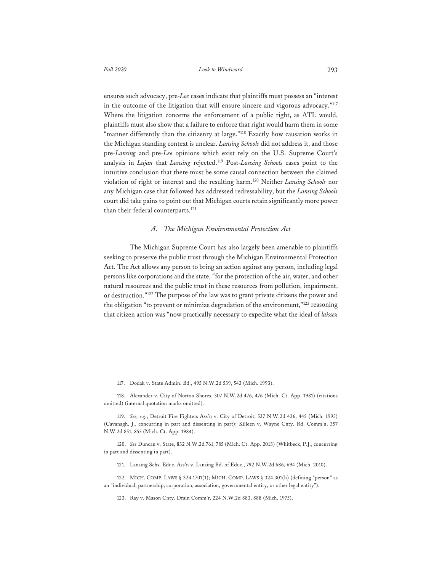ensures such advocacy, pre-*Lee* cases indicate that plaintiffs must possess an "interest in the outcome of the litigation that will ensure sincere and vigorous advocacy."117 Where the litigation concerns the enforcement of a public right, as ATL would, plaintiffs must also show that a failure to enforce that right would harm them in some "manner differently than the citizenry at large."<sup>118</sup> Exactly how causation works in the Michigan standing context is unclear. *Lansing Schools* did not address it, and those pre-*Lansing* and pre-*Lee* opinions which exist rely on the U.S. Supreme Court's analysis in *Lujan* that *Lansing* rejected.119 Post-*Lansing Schools* cases point to the intuitive conclusion that there must be some causal connection between the claimed violation of right or interest and the resulting harm.120 Neither *Lansing Schools* nor any Michigan case that followed has addressed redressability, but the *Lansing Schools* court did take pains to point out that Michigan courts retain significantly more power than their federal counterparts.<sup>121</sup>

## *A. The Michigan Environmental Protection Act*

The Michigan Supreme Court has also largely been amenable to plaintiffs seeking to preserve the public trust through the Michigan Environmental Protection Act. The Act allows any person to bring an action against any person, including legal persons like corporations and the state, "for the protection of the air, water, and other natural resources and the public trust in these resources from pollution, impairment, or destruction."122 The purpose of the law was to grant private citizens the power and the obligation "to prevent or minimize degradation of the environment,"<sup>123</sup> reasoning that citizen action was "now practically necessary to expedite what the ideal of *laissez* 

<sup>117.</sup> Dodak v. State Admin. Bd., 495 N.W.2d 539, 543 (Mich. 1993).

<sup>118.</sup> Alexander v. City of Norton Shores, 307 N.W.2d 476, 476 (Mich. Ct. App. 1981) (citations omitted) (internal quotation marks omitted).

<sup>119.</sup> *See, e.g.*, Detroit Fire Fighters Ass'n v. City of Detroit, 537 N.W.2d 436, 445 (Mich. 1995) (Cavanagh, J., concurring in part and dissenting in part); Killeen v. Wayne Cnty. Rd. Comm'n, 357 N.W.2d 851, 855 (Mich. Ct. App. 1984).

<sup>120.</sup> *See* Duncan v. State, 832 N.W.2d 761, 785 (Mich. Ct. App. 2013) (Whitbeck, P.J., concurring in part and dissenting in part).

<sup>121.</sup> Lansing Schs. Educ. Ass'n v. Lansing Bd. of Educ., 792 N.W.2d 686, 694 (Mich. 2010).

<sup>122.</sup> MICH. COMP. LAWS § 324.1701(1); MICH. COMP. LAWS § 324.301(h) (defining "person" as an "individual, partnership, corporation, association, governmental entity, or other legal entity").

<sup>123.</sup> Ray v. Mason Cnty. Drain Comm'r, 224 N.W.2d 883, 888 (Mich. 1975).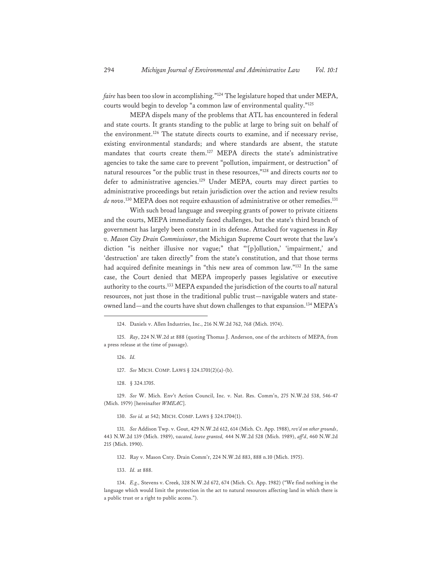*faire* has been too slow in accomplishing."124 The legislature hoped that under MEPA, courts would begin to develop "a common law of environmental quality."125

MEPA dispels many of the problems that ATL has encountered in federal and state courts. It grants standing to the public at large to bring suit on behalf of the environment.<sup>126</sup> The statute directs courts to examine, and if necessary revise, existing environmental standards; and where standards are absent, the statute mandates that courts create them.127 MEPA directs the state's administrative agencies to take the same care to prevent "pollution, impairment, or destruction" of natural resources "or the public trust in these resources,"128 and directs courts *not* to defer to administrative agencies.129 Under MEPA, courts may direct parties to administrative proceedings but retain jurisdiction over the action and review results *de novo*. 130 MEPA does not require exhaustion of administrative or other remedies.131

With such broad language and sweeping grants of power to private citizens and the courts, MEPA immediately faced challenges, but the state's third branch of government has largely been constant in its defense. Attacked for vagueness in *Ray v. Mason City Drain Commissioner*, the Michigan Supreme Court wrote that the law's diction "is neither illusive nor vague;" that "'[p]ollution,' 'impairment,' and 'destruction' are taken directly" from the state's constitution, and that those terms had acquired definite meanings in "this new area of common law."132 In the same case, the Court denied that MEPA improperly passes legislative or executive authority to the courts.133 MEPA expanded the jurisdiction of the courts to *all* natural resources, not just those in the traditional public trust—navigable waters and stateowned land—and the courts have shut down challenges to that expansion.<sup>134</sup> MEPA's

- 126. *Id.*
- 127. *See* MICH. COMP. LAWS § 324.1701(2)(a)-(b).
- 128. § 324.1705.

129. *See* W. Mich. Env't Action Council, Inc. v. Nat. Res. Comm'n, 275 N.W.2d 538, 546-47 (Mich. 1979) [hereinafter *WMEAC*].

130. *See id.* at 542; MICH. COMP. LAWS § 324.1704(1).

133. *Id.* at 888.

134. *E.g.,* Stevens v. Creek, 328 N.W.2d 672, 674 (Mich. Ct. App. 1982) ("We find nothing in the language which would limit the protection in the act to natural resources affecting land in which there is a public trust or a right to public access.").

<sup>124.</sup> Daniels v. Allen Industries, Inc., 216 N.W.2d 762, 768 (Mich. 1974).

<sup>125.</sup> *Ray*, 224 N.W.2d at 888 (quoting Thomas J. Anderson, one of the architects of MEPA, from a press release at the time of passage).

<sup>131.</sup> *See* Addison Twp. v. Gout, 429 N.W.2d 612, 614 (Mich. Ct. App. 1988), *rev'd on other grounds*, 443 N.W.2d 139 (Mich. 1989), *vacated, leave granted,* 444 N.W.2d 528 (Mich. 1989), *aff'd*, 460 N.W.2d 215 (Mich. 1990).

<sup>132.</sup> Ray v. Mason Cnty. Drain Comm'r, 224 N.W.2d 883, 888 n.10 (Mich. 1975).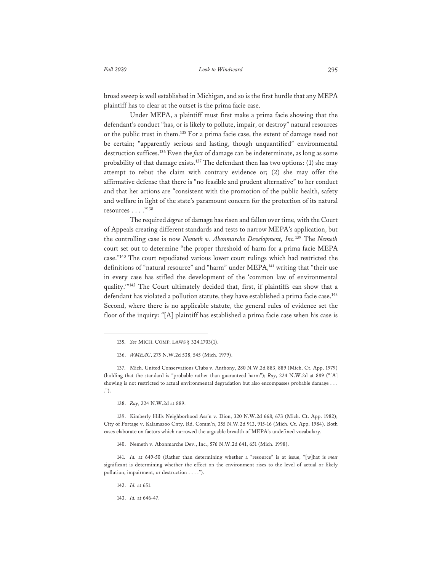broad sweep is well established in Michigan, and so is the first hurdle that any MEPA plaintiff has to clear at the outset is the prima facie case.

Under MEPA, a plaintiff must first make a prima facie showing that the defendant's conduct "has, or is likely to pollute, impair, or destroy" natural resources or the public trust in them.135 For a prima facie case, the extent of damage need not be certain; "apparently serious and lasting, though unquantified" environmental destruction suffices.136 Even the *fact* of damage can be indeterminate, as long as some probability of that damage exists.<sup>137</sup> The defendant then has two options: (1) she may attempt to rebut the claim with contrary evidence or; (2) she may offer the affirmative defense that there is "no feasible and prudent alternative" to her conduct and that her actions are "consistent with the promotion of the public health, safety and welfare in light of the state's paramount concern for the protection of its natural resources . . . ."138

The required *degree* of damage has risen and fallen over time, with the Court of Appeals creating different standards and tests to narrow MEPA's application, but the controlling case is now *Nemeth v. Abonmarche Development, Inc.*139 The *Nemeth* court set out to determine "the proper threshold of harm for a prima facie MEPA case."140 The court repudiated various lower court rulings which had restricted the definitions of "natural resource" and "harm" under MEPA,<sup>141</sup> writing that "their use in every case has stifled the development of the 'common law of environmental quality.'"142 The Court ultimately decided that, first, if plaintiffs can show that a defendant has violated a pollution statute, they have established a prima facie case.<sup>143</sup> Second, where there is no applicable statute, the general rules of evidence set the floor of the inquiry: "[A] plaintiff has established a prima facie case when his case is

138. *Ray*, 224 N.W.2d at 889.

139. Kimberly Hills Neighborhood Ass'n v. Dion, 320 N.W.2d 668, 673 (Mich. Ct. App. 1982); City of Portage v. Kalamazoo Cnty. Rd. Comm'n, 355 N.W.2d 913, 915-16 (Mich. Ct. App. 1984). Both cases elaborate on factors which narrowed the arguable breadth of MEPA's undefined vocabulary.

140. Nemeth v. Abonmarche Dev., Inc., 576 N.W.2d 641, 651 (Mich. 1998).

141. *Id.* at 649-50 (Rather than determining whether a "resource" is at issue, "[w]hat is *most* significant is determining whether the effect on the environment rises to the level of actual or likely pollution, impairment, or destruction . . . .").

142. *Id.* at 651.

<sup>135.</sup> *See* MICH. COMP. LAWS § 324.1703(1).

<sup>136.</sup> *WMEAC*, 275 N.W.2d 538, 545 (Mich. 1979).

<sup>137.</sup> Mich. United Conservations Clubs v. Anthony, 280 N.W.2d 883, 889 (Mich. Ct. App. 1979) (holding that the standard is "probable rather than guaranteed harm"); *Ray*, 224 N.W.2d at 889 ("[A] showing is not restricted to actual environmental degradation but also encompasses probable damage . . . .").

<sup>143.</sup> *Id.* at 646-47.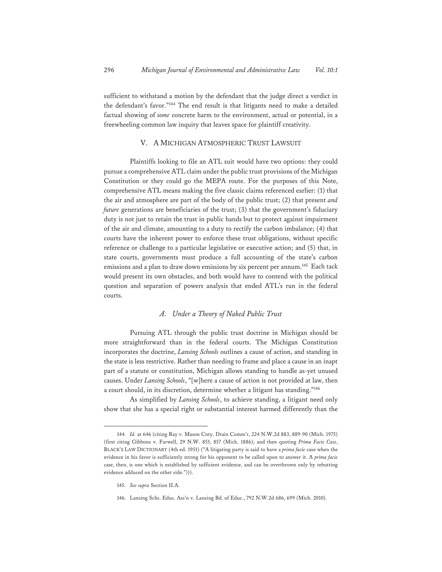sufficient to withstand a motion by the defendant that the judge direct a verdict in the defendant's favor."144 The end result is that litigants need to make a detailed factual showing of *some* concrete harm to the environment, actual or potential, in a freewheeling common law inquiry that leaves space for plaintiff creativity.

## V. A MICHIGAN ATMOSPHERIC TRUST LAWSUIT

Plaintiffs looking to file an ATL suit would have two options: they could pursue a comprehensive ATL claim under the public trust provisions of the Michigan Constitution or they could go the MEPA route. For the purposes of this Note, comprehensive ATL means making the five classic claims referenced earlier: (1) that the air and atmosphere are part of the body of the public trust; (2) that present *and future* generations are beneficiaries of the trust; (3) that the government's fiduciary duty is not just to retain the trust in public hands but to protect against impairment of the air and climate, amounting to a duty to rectify the carbon imbalance; (4) that courts have the inherent power to enforce these trust obligations, without specific reference or challenge to a particular legislative or executive action; and (5) that, in state courts, governments must produce a full accounting of the state's carbon emissions and a plan to draw down emissions by six percent per annum.<sup>145</sup> Each tack would present its own obstacles, and both would have to contend with the political question and separation of powers analysis that ended ATL's run in the federal courts.

## *A. Under a Theory of Naked Public Trust*

Pursuing ATL through the public trust doctrine in Michigan should be more straightforward than in the federal courts. The Michigan Constitution incorporates the doctrine, *Lansing Schools* outlines a cause of action, and standing in the state is less restrictive. Rather than needing to frame and place a cause in an inapt part of a statute or constitution, Michigan allows standing to handle as-yet unused causes. Under *Lansing Schools*, "[w]here a cause of action is not provided at law, then a court should, in its discretion, determine whether a litigant has standing."146

As simplified by *Lansing Schools*, to achieve standing, a litigant need only show that she has a special right or substantial interest harmed differently than the

<sup>144.</sup> *Id.* at 646 (citing Ray v. Mason Cnty. Drain Comm'r, 224 N.W.2d 883, 889-90 (Mich. 1975) (first citing Gibbons v. Farwell, 29 N.W. 855, 857 (Mich. 1886); and then quoting *Prima Facie Case*, BLACK'S LAW DICTIONARY (4th ed. 1951) ("A litigating party is said to have a *prima facie* case when the evidence in his favor is sufficiently strong for his opponent to be called upon to answer it. A *prima facie* case, then, is one which is established by sufficient evidence, and can be overthrown only by rebutting evidence adduced on the other side."))).

<sup>145.</sup> *See supra* Section II.A.

<sup>146.</sup> Lansing Schs. Educ. Ass'n v. Lansing Bd. of Educ., 792 N.W.2d 686, 699 (Mich. 2010).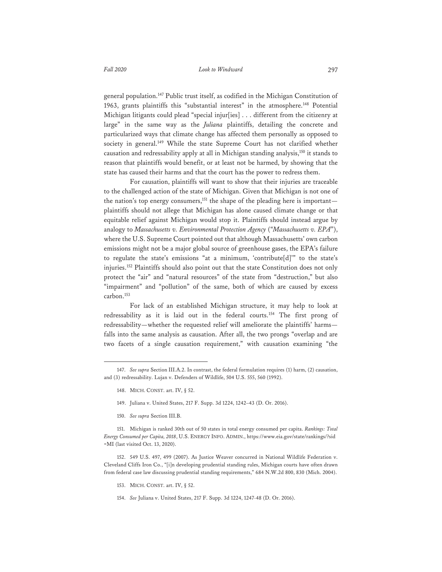general population.147 Public trust itself, as codified in the Michigan Constitution of 1963, grants plaintiffs this "substantial interest" in the atmosphere.<sup>148</sup> Potential Michigan litigants could plead "special injur[ies] . . . different from the citizenry at large" in the same way as the *Juliana* plaintiffs, detailing the concrete and particularized ways that climate change has affected them personally as opposed to society in general.<sup>149</sup> While the state Supreme Court has not clarified whether causation and redressability apply at all in Michigan standing analysis,<sup>150</sup> it stands to reason that plaintiffs would benefit, or at least not be harmed, by showing that the state has caused their harms and that the court has the power to redress them.

For causation, plaintiffs will want to show that their injuries are traceable to the challenged action of the state of Michigan. Given that Michigan is not one of the nation's top energy consumers,<sup>151</sup> the shape of the pleading here is important plaintiffs should not allege that Michigan has alone caused climate change or that equitable relief against Michigan would stop it. Plaintiffs should instead argue by analogy to *Massachusetts v. Environmental Protection Agency* ("*Massachusetts v. EPA*"), where the U.S. Supreme Court pointed out that although Massachusetts' own carbon emissions might not be a major global source of greenhouse gases, the EPA's failure to regulate the state's emissions "at a minimum, 'contribute[d]'" to the state's injuries.152 Plaintiffs should also point out that the state Constitution does not only protect the "air" and "natural resources" of the state from "destruction," but also "impairment" and "pollution" of the same, both of which are caused by excess carbon.153

For lack of an established Michigan structure, it may help to look at redressability as it is laid out in the federal courts.154 The first prong of redressability—whether the requested relief will ameliorate the plaintiffs' harms falls into the same analysis as causation. After all, the two prongs "overlap and are two facets of a single causation requirement," with causation examining "the

- 148. MICH. CONST. art. IV, § 52.
- 149. Juliana v. United States, 217 F. Supp. 3d 1224, 1242–43 (D. Or. 2016).
- 150. *See supra* Section III.B.

152. 549 U.S. 497, 499 (2007). As Justice Weaver concurred in National Wildlife Federation v. Cleveland Cliffs Iron Co., "[i]n developing prudential standing rules, Michigan courts have often drawn from federal case law discussing prudential standing requirements," 684 N.W.2d 800, 830 (Mich. 2004).

- 153. MICH. CONST. art. IV, § 52.
- 154. *See* Juliana v. United States, 217 F. Supp. 3d 1224, 1247-48 (D. Or. 2016).

<sup>147.</sup> *See supra* Section III.A.2. In contrast, the federal formulation requires (1) harm, (2) causation, and (3) redressability. Lujan v. Defenders of Wildlife, 504 U.S. 555, 560 (1992).

<sup>151.</sup> Michigan is ranked 30th out of 50 states in total energy consumed per capita. *Rankings: Total Energy Consumed per Capita, 2018*, U.S. ENERGY INFO. ADMIN., https://www.eia.gov/state/rankings/?sid =MI (last visited Oct. 13, 2020).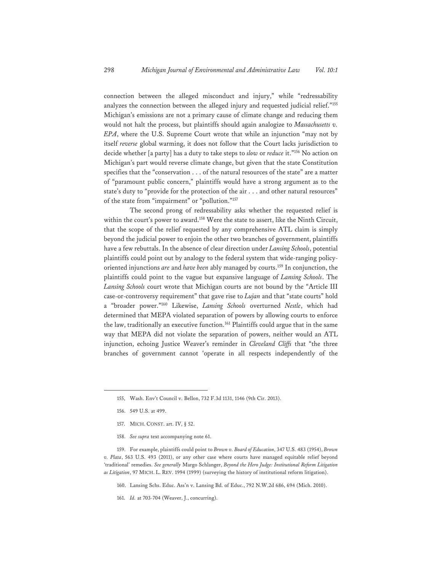connection between the alleged misconduct and injury," while "redressability analyzes the connection between the alleged injury and requested judicial relief."155 Michigan's emissions are not a primary cause of climate change and reducing them would not halt the process, but plaintiffs should again analogize to *Massachusetts v. EPA*, where the U.S. Supreme Court wrote that while an injunction "may not by itself *reverse* global warming, it does not follow that the Court lacks jurisdiction to decide whether [a party] has a duty to take steps to *slow* or *reduce* it."156 No action on Michigan's part would reverse climate change, but given that the state Constitution specifies that the "conservation . . . of the natural resources of the state" are a matter of "paramount public concern," plaintiffs would have a strong argument as to the state's duty to "provide for the protection of the air . . . and other natural resources" of the state from "impairment" or "pollution."157

The second prong of redressability asks whether the requested relief is within the court's power to award.<sup>158</sup> Were the state to assert, like the Ninth Circuit, that the scope of the relief requested by any comprehensive ATL claim is simply beyond the judicial power to enjoin the other two branches of government, plaintiffs have a few rebuttals. In the absence of clear direction under *Lansing Schools*, potential plaintiffs could point out by analogy to the federal system that wide-ranging policyoriented injunctions *are* and *have been* ably managed by courts.159 In conjunction, the plaintiffs could point to the vague but expansive language of *Lansing Schools*. The *Lansing Schools* court wrote that Michigan courts are not bound by the "Article III case-or-controversy requirement" that gave rise to *Lujan* and that "state courts" hold a "broader power."160 Likewise, *Lansing Schools* overturned *Nestle*, which had determined that MEPA violated separation of powers by allowing courts to enforce the law, traditionally an executive function.<sup>161</sup> Plaintiffs could argue that in the same way that MEPA did not violate the separation of powers, neither would an ATL injunction, echoing Justice Weaver's reminder in *Cleveland Cliffs* that "the three branches of government cannot 'operate in all respects independently of the

- 157. MICH. CONST. art. IV, § 52.
- 158. *See supra* text accompanying note 61.

161. *Id.* at 703-704 (Weaver, J., concurring).

<sup>155,</sup> Wash. Env't Council v. Bellon, 732 F.3d 1131, 1146 (9th Cir. 2013).

<sup>156. 549</sup> U.S. at 499.

<sup>159.</sup> For example, plaintiffs could point to *Brown v. Board of Education*, 347 U.S. 483 (1954), *Brown v. Plata*, 563 U.S. 493 (2011), or any other case where courts have managed equitable relief beyond 'traditional' remedies. *See generally* Margo Schlanger, *Beyond the Hero Judge: Institutional Reform Litigation as Litigation*, 97 MICH. L. REV. 1994 (1999) (surveying the history of institutional reform litigation).

<sup>160.</sup> Lansing Schs. Educ. Ass'n v. Lansing Bd. of Educ., 792 N.W.2d 686, 694 (Mich. 2010).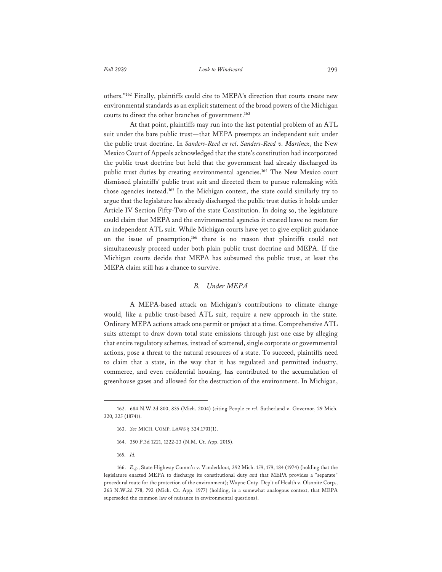others."162 Finally, plaintiffs could cite to MEPA's direction that courts create new environmental standards as an explicit statement of the broad powers of the Michigan courts to direct the other branches of government.<sup>163</sup>

At that point, plaintiffs may run into the last potential problem of an ATL suit under the bare public trust—that MEPA preempts an independent suit under the public trust doctrine. In *Sanders-Reed ex rel*. *Sanders-Reed v. Martinez*, the New Mexico Court of Appeals acknowledged that the state's constitution had incorporated the public trust doctrine but held that the government had already discharged its public trust duties by creating environmental agencies.<sup>164</sup> The New Mexico court dismissed plaintiffs' public trust suit and directed them to pursue rulemaking with those agencies instead.165 In the Michigan context, the state could similarly try to argue that the legislature has already discharged the public trust duties it holds under Article IV Section Fifty-Two of the state Constitution. In doing so, the legislature could claim that MEPA and the environmental agencies it created leave no room for an independent ATL suit. While Michigan courts have yet to give explicit guidance on the issue of preemption,166 there is no reason that plaintiffs could not simultaneously proceed under both plain public trust doctrine and MEPA. If the Michigan courts decide that MEPA has subsumed the public trust, at least the MEPA claim still has a chance to survive.

## *B. Under MEPA*

A MEPA-based attack on Michigan's contributions to climate change would, like a public trust-based ATL suit, require a new approach in the state. Ordinary MEPA actions attack one permit or project at a time. Comprehensive ATL suits attempt to draw down total state emissions through just one case by alleging that entire regulatory schemes, instead of scattered, single corporate or governmental actions, pose a threat to the natural resources of a state. To succeed, plaintiffs need to claim that a state, in the way that it has regulated and permitted industry, commerce, and even residential housing, has contributed to the accumulation of greenhouse gases and allowed for the destruction of the environment. In Michigan,

- 164. 350 P.3d 1221, 1222-23 (N.M. Ct. App. 2015).
- 165. *Id.*

<sup>162. 684</sup> N.W.2d 800, 835 (Mich. 2004) (citing People *ex rel*. Sutherland v. Governor, 29 Mich. 320, 325 (1874)).

<sup>163.</sup> *See* MICH. COMP. LAWS § 324.1701(1).

<sup>166.</sup> *E.g.*, State Highway Comm'n v. Vanderkloot*,* 392 Mich. 159, 179, 184 (1974) (holding that the legislature enacted MEPA to discharge its constitutional duty *and* that MEPA provides a "separate" procedural route for the protection of the environment); Wayne Cnty. Dep't of Health v. Olsonite Corp., 263 N.W.2d 778, 792 (Mich. Ct. App. 1977) (holding, in a somewhat analogous context, that MEPA superseded the common law of nuisance in environmental questions).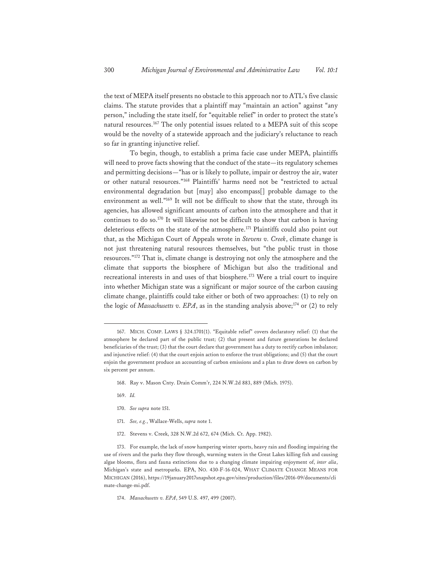the text of MEPA itself presents no obstacle to this approach nor to ATL's five classic claims. The statute provides that a plaintiff may "maintain an action" against "any person," including the state itself, for "equitable relief" in order to protect the state's natural resources.167 The only potential issues related to a MEPA suit of this scope would be the novelty of a statewide approach and the judiciary's reluctance to reach so far in granting injunctive relief.

To begin, though, to establish a prima facie case under MEPA, plaintiffs will need to prove facts showing that the conduct of the state—its regulatory schemes and permitting decisions—"has or is likely to pollute, impair or destroy the air, water or other natural resources."168 Plaintiffs' harms need not be "restricted to actual environmental degradation but [may] also encompass[] probable damage to the environment as well."169 It will not be difficult to show that the state, through its agencies, has allowed significant amounts of carbon into the atmosphere and that it continues to do so.<sup>170</sup> It will likewise not be difficult to show that carbon is having deleterious effects on the state of the atmosphere.<sup>171</sup> Plaintiffs could also point out that, as the Michigan Court of Appeals wrote in *Stevens v. Creek*, climate change is not just threatening natural resources themselves, but "the public trust in those resources."172 That is, climate change is destroying not only the atmosphere and the climate that supports the biosphere of Michigan but also the traditional and recreational interests in and uses of that biosphere.<sup>173</sup> Were a trial court to inquire into whether Michigan state was a significant or major source of the carbon causing climate change, plaintiffs could take either or both of two approaches: (1) to rely on the logic of *Massachusetts v. EPA*, as in the standing analysis above;<sup>174</sup> or (2) to rely

- 168. Ray v. Mason Cnty. Drain Comm'r, 224 N.W.2d 883, 889 (Mich. 1975).
- 169. *Id.*
- 170. *See supra* note 151.
- 171. *See, e.g.*, Wallace-Wells, *supra* note 1.
- 172. Stevens v. Creek, 328 N.W.2d 672, 674 (Mich. Ct. App. 1982).

174. *Massachusetts v. EPA*, 549 U.S. 497, 499 (2007).

<sup>167.</sup> MICH. COMP. LAWS § 324.1701(1). "Equitable relief" covers declaratory relief: (1) that the atmosphere be declared part of the public trust; (2) that present and future generations be declared beneficiaries of the trust; (3) that the court declare that government has a duty to rectify carbon imbalance; and injunctive relief: (4) that the court enjoin action to enforce the trust obligations; and (5) that the court enjoin the government produce an accounting of carbon emissions and a plan to draw down on carbon by six percent per annum.

<sup>173.</sup> For example, the lack of snow hampering winter sports, heavy rain and flooding impairing the use of rivers and the parks they flow through, warming waters in the Great Lakes killing fish and causing algae blooms, flora and fauna extinctions due to a changing climate impairing enjoyment of, *inter alia*, Michigan's state and metroparks. EPA, NO. 430-F-16-024, WHAT CLIMATE CHANGE MEANS FOR MICHIGAN (2016), https://19january2017snapshot.epa.gov/sites/production/files/2016-09/documents/cli mate-change-mi.pdf.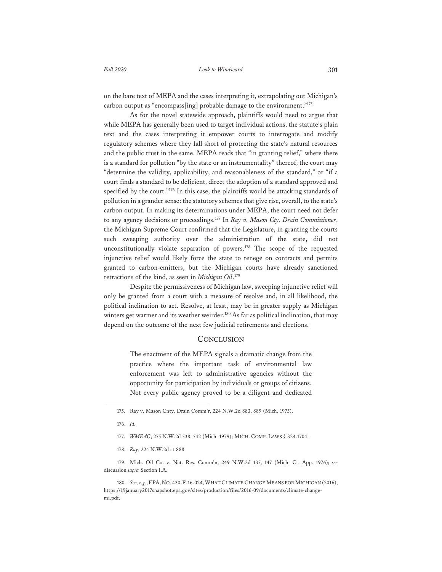on the bare text of MEPA and the cases interpreting it, extrapolating out Michigan's carbon output as "encompass[ing] probable damage to the environment."175

As for the novel statewide approach, plaintiffs would need to argue that while MEPA has generally been used to target individual actions, the statute's plain text and the cases interpreting it empower courts to interrogate and modify regulatory schemes where they fall short of protecting the state's natural resources and the public trust in the same. MEPA reads that "in granting relief," where there is a standard for pollution "by the state or an instrumentality" thereof, the court may "determine the validity, applicability, and reasonableness of the standard," or "if a court finds a standard to be deficient, direct the adoption of a standard approved and specified by the court."<sup>176</sup> In this case, the plaintiffs would be attacking standards of pollution in a grander sense: the statutory schemes that give rise, overall, to the state's carbon output. In making its determinations under MEPA, the court need not defer to any agency decisions or proceedings.177 In *Ray v. Mason Cty. Drain Commissioner*, the Michigan Supreme Court confirmed that the Legislature, in granting the courts such sweeping authority over the administration of the state, did not unconstitutionally violate separation of powers.<sup>178</sup> The scope of the requested injunctive relief would likely force the state to renege on contracts and permits granted to carbon-emitters, but the Michigan courts have already sanctioned retractions of the kind, as seen in *Michigan Oil*. 179

Despite the permissiveness of Michigan law, sweeping injunctive relief will only be granted from a court with a measure of resolve and, in all likelihood, the political inclination to act. Resolve, at least, may be in greater supply as Michigan winters get warmer and its weather weirder.<sup>180</sup> As far as political inclination, that may depend on the outcome of the next few judicial retirements and elections.

#### **CONCLUSION**

The enactment of the MEPA signals a dramatic change from the practice where the important task of environmental law enforcement was left to administrative agencies without the opportunity for participation by individuals or groups of citizens. Not every public agency proved to be a diligent and dedicated

<sup>175.</sup> Ray v. Mason Cnty. Drain Comm'r, 224 N.W.2d 883, 889 (Mich. 1975).

<sup>176.</sup> *Id.*

<sup>177.</sup> *WMEAC*, 275 N.W.2d 538, 542 (Mich. 1979); MICH. COMP. LAWS § 324.1704.

<sup>178.</sup> *Ray*, 224 N.W.2d at 888.

<sup>179.</sup> Mich. Oil Co. v. Nat. Res. Comm'n, 249 N.W.2d 135, 147 (Mich. Ct. App. 1976); *see* discussion *supra* Section I.A.

<sup>180.</sup> *See, e.g.*, EPA, NO. 430-F-16-024, WHAT CLIMATE CHANGE MEANS FOR MICHIGAN (2016), https://19january2017snapshot.epa.gov/sites/production/files/2016-09/documents/climate-changemi.pdf.